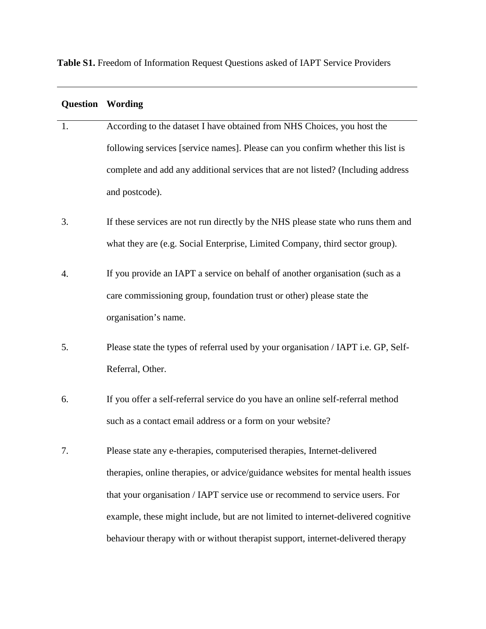**Table S1.** Freedom of Information Request Questions asked of IAPT Service Providers

| <b>Question Wording</b> |                                                                                    |
|-------------------------|------------------------------------------------------------------------------------|
| 1.                      | According to the dataset I have obtained from NHS Choices, you host the            |
|                         | following services [service names]. Please can you confirm whether this list is    |
|                         | complete and add any additional services that are not listed? (Including address   |
|                         | and postcode).                                                                     |
| 3.                      | If these services are not run directly by the NHS please state who runs them and   |
|                         | what they are (e.g. Social Enterprise, Limited Company, third sector group).       |
| 4.                      | If you provide an IAPT a service on behalf of another organisation (such as a      |
|                         | care commissioning group, foundation trust or other) please state the              |
|                         | organisation's name.                                                               |
| 5.                      | Please state the types of referral used by your organisation / IAPT i.e. GP, Self- |
|                         | Referral, Other.                                                                   |
| 6.                      | If you offer a self-referral service do you have an online self-referral method    |
|                         | such as a contact email address or a form on your website?                         |
| 7.                      | Please state any e-therapies, computerised therapies, Internet-delivered           |
|                         | therapies, online therapies, or advice/guidance websites for mental health issues  |
|                         | that your organisation / IAPT service use or recommend to service users. For       |
|                         | example, these might include, but are not limited to internet-delivered cognitive  |
|                         | behaviour therapy with or without therapist support, internet-delivered therapy    |